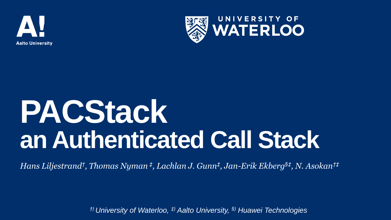



# **PACStack an Authenticated Call Stack**

*Hans Liljestrand† , Thomas Nyman ‡ , Lachlan J. Gunn‡ , Jan-Erik Ekberg§‡ , N. Asokan†‡*

*†) University of Waterloo, ‡) Aalto University, §) Huawei Technologies*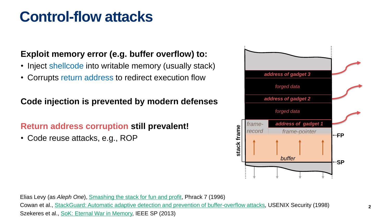### **Control-flow attacks**

### **Exploit memory error (e.g. buffer overflow) to:**

- Inject shellcode into writable memory (usually stack)
- Corrupts return address to redirect execution flow

### **Code injection is prevented by modern defenses**

### **Return address corruption still prevalent!**

• Code reuse attacks, e.g., ROP



Elias Levy (as *Aleph One*), [Smashing the stack for fun and profit](http://phrack.org/issues/49/14.html), Phrack 7 (1996) Cowan et al., [StackGuard: Automatic adaptive detection and prevention of buffer-overflow attacks](https://www.usenix.org/legacy/publications/library/proceedings/sec98/full_papers/cowan/cowan.pdf)*,* USENIX Security (1998) Szekeres et al., [SoK: Eternal War in Memory,](https://doi.org/10.1109/SP.2013.13) IEEE SP (2013)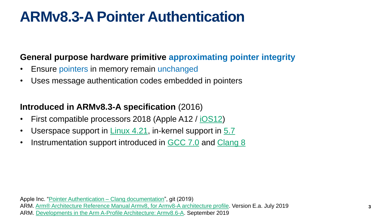### **ARMv8.3-A Pointer Authentication**

### **General purpose hardware primitive approximating pointer integrity**

- Ensure pointers in memory remain unchanged
- Uses message authentication codes embedded in pointers

### **Introduced in ARMv8.3-A specification** (2016)

- First compatible processors 2018 (Apple A12 / <u>iOS12</u>)
- Userspace support in  $Linux 4.21$ , in-kernel support in  $5.7$ </u></u>
- Instrumentation support introduced in [GCC 7.0](https://www.gnu.org/software/gcc/gcc-7/changes.html) and [Clang 8](https://developer.arm.com/tools-and-software/open-source-software/developer-tools/llvm-toolchain/pointer-authentication)

Apple Inc. "[Pointer Authentication –](https://github.com/apple/llvm-project/blob/d43163879bdb9576fff7a5a269d36920eee4ac29/clang/docs/PointerAuthentication.rst) Clang documentation", git (2019) ARM. [Arm® Architecture Reference Manual Armv8, for Armv8-A architecture profile.](https://developer.arm.com/docs/ddi0487/latest/arm-architecture-reference-manual-armv8-for-armv8-a-architecture-profile) Version E.a. July 2019

ARM. [Developments in the Arm A-Profile Architecture: Armv8.6-A](https://community.arm.com/developer/ip-products/processors/b/processors-ip-blog/posts/arm-architecture-developments-armv8-6-a). September 2019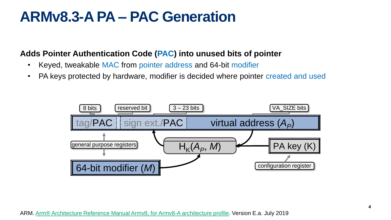### **ARMv8.3-A PA – PAC Generation**

#### **Adds Pointer Authentication Code (PAC) into unused bits of pointer**

- Keyed, tweakable MAC from pointer address and 64-bit modifier
- PA keys protected by hardware, modifier is decided where pointer created and used

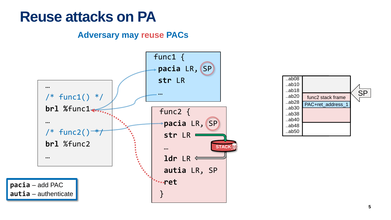### **Reuse attacks on PA**

#### **Adversary may reuse PACs**



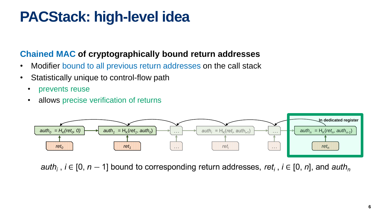### **PACStack: high-level idea**

### **Chained MAC of cryptographically bound return addresses**

- Modifier bound to all previous return addresses on the call stack
- Statistically unique to control-flow path
	- prevents reuse
	- allows precise verification of returns



auth<sub>i</sub>,  $i \in [0, n - 1]$  bound to corresponding return addresses, ret<sub>i</sub>,  $i \in [0, n]$ , and auth<sub>n</sub>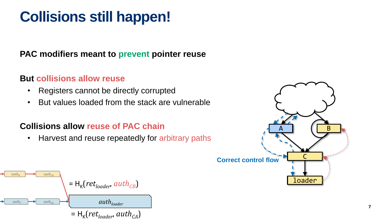# **Collisions still happen!**

### **PAC modifiers meant to prevent pointer reuse**

#### **But collisions allow reuse**

- Registers cannot be directly corrupted
- But values loaded from the stack are vulnerable

#### **Collisions allow reuse of PAC chain**

• Harvest and reuse repeatedly for arbitrary paths



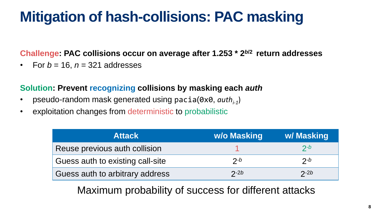## **Mitigation of hash-collisions: PAC masking**

#### **Challenge: PAC collisions occur on average after 1.253 \* 2***<sup>b</sup>***/2 return addresses**

For  $b = 16$ ,  $n = 321$  addresses

#### **Solution: Prevent recognizing collisions by masking each** *auth*

- pseudo-random mask generated using pacia(0x0, *authi-1* )
- exploitation changes from deterministic to probabilistic

| <b>Attack</b>                    | w/o Masking | w/ Masking |
|----------------------------------|-------------|------------|
| Reuse previous auth collision    |             | $2-b$      |
| Guess auth to existing call-site | $2-b$       | $2-b$      |
| Guess auth to arbitrary address  | $2-2b$      | $2-2b$     |

Maximum probability of success for different attacks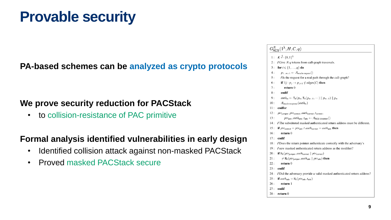### **Provable security**

### **PA-based schemes can be analyzed as crypto protocols**

### **We prove security reduction for PACStack**

• to collision-resistance of PAC primitive

#### **Formal analysis identified vulnerabilities in early design**

- Identified collision attack against non-masked PACStack
- Proved masked PACStack secure

| $G^{\mathcal{A}}_{\mathsf{ACS}}(1^{\lambda},H,C,q)$ |                                                                                                                                                                                                                 |  |
|-----------------------------------------------------|-----------------------------------------------------------------------------------------------------------------------------------------------------------------------------------------------------------------|--|
|                                                     | 1: $K \stackrel{\$}{\leftarrow} \{0,1\}^{\lambda}$                                                                                                                                                              |  |
|                                                     | 2: / Give $A$ q tokens from call-graph traversals.                                                                                                                                                              |  |
| 3:                                                  | for $i \in \{1, \ldots, q\}$ do                                                                                                                                                                                 |  |
| 4:                                                  | $p_{1m+1} \leftarrow \mathcal{A}_{\text{oracle-request}}()$                                                                                                                                                     |  |
| 5:                                                  | / Is the request for a real path through the call-graph?                                                                                                                                                        |  |
| 6:                                                  | if $\exists j : p_j \rightarrow p_{j+1} \notin \text{edges}(C)$ then                                                                                                                                            |  |
| 7:                                                  | return 0                                                                                                                                                                                                        |  |
| 8:                                                  | endif                                                                                                                                                                                                           |  |
| 9:                                                  | $auth_m \leftarrow T_K(p_m, T_K(p_{m-1}, \dots) \parallel p_{m-1}) \parallel p_m$                                                                                                                               |  |
| 10:                                                 | $\mathcal{A}_{\text{oracle-response}}(auth_m)$                                                                                                                                                                  |  |
| 11:                                                 | endfor                                                                                                                                                                                                          |  |
| 12:                                                 | $ptr_{\text{iumber}}$ , $ptr_{\text{correct}}$ , $auth_{\text{correct}}$ , $t_{\text{correct}}$ ,                                                                                                               |  |
| 13:                                                 | $ptr_{\text{adv}}, \text{auth}_{\text{adv}}, t_{\text{adv}} \leftarrow \text{A}_{\text{ACS-Violation}}()$                                                                                                       |  |
| 14:                                                 | The substituted masked authenticated return address must be different.                                                                                                                                          |  |
| 15:                                                 | if $ptr_{\text{correct}} = pr_{\text{adv}} \wedge \text{auth}_{\text{correct}} = \text{auth}_{\text{adv}}$ then                                                                                                 |  |
| 16:                                                 | return 0                                                                                                                                                                                                        |  |
| 17:                                                 | endif                                                                                                                                                                                                           |  |
| 18:                                                 | / Does the return pointer authenticate correctly with the adversary's                                                                                                                                           |  |
| 19:                                                 | I new masked authenticated return address as the modifier?                                                                                                                                                      |  |
| 20:                                                 | <b>if</b> $H_K(ptr_{\text{jumper}}, \text{auth}_{\text{correct}}    \text{ptr}_{\text{correct}})$                                                                                                               |  |
| 21:                                                 | $\neq$ H <sub>K</sub> ( <i>ptr</i> <sub>jumper</sub> , <i>auth</i> <sub>adv</sub>    <i>ptr</i> <sub>adv</sub> ) <b>then</b>                                                                                    |  |
| 22:                                                 | return 0                                                                                                                                                                                                        |  |
| 23:                                                 | endif                                                                                                                                                                                                           |  |
| 24:                                                 | / Did the adversary provide a valid masked authenticated return address?                                                                                                                                        |  |
|                                                     | if $\mathop{\hbox{\rm aut}}\nolimits h_{\mathop{\hbox{\rm adv}}\nolimits} = \mathrm{H}_{\mathbb{K}}(\mathop{\hbox{\rm pt}}\nolimits r_{\mathop{\hbox{\rm adv}}\nolimits},t_{\mathop{\hbox{\rm adv}}\nolimits})$ |  |
| 26:                                                 | return 1                                                                                                                                                                                                        |  |
| 27:                                                 | endif                                                                                                                                                                                                           |  |

 $28:$  return 0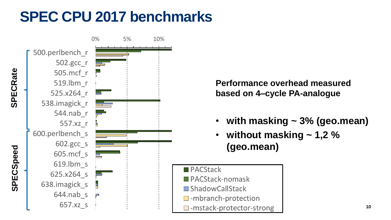## **SPEC CPU 2017 benchmarks**



**Performance overhead measured based on 4–cycle PA-analogue**

- **with masking ~ 3% (geo.mean)**
- **without masking ~ 1,2 % (geo.mean)**
- **PACStack**
- PACStack-nomask
- **ShadowCallStack**
- $\Box$ -mbranch-protection
- $\Box$  -mstack-protector-strong